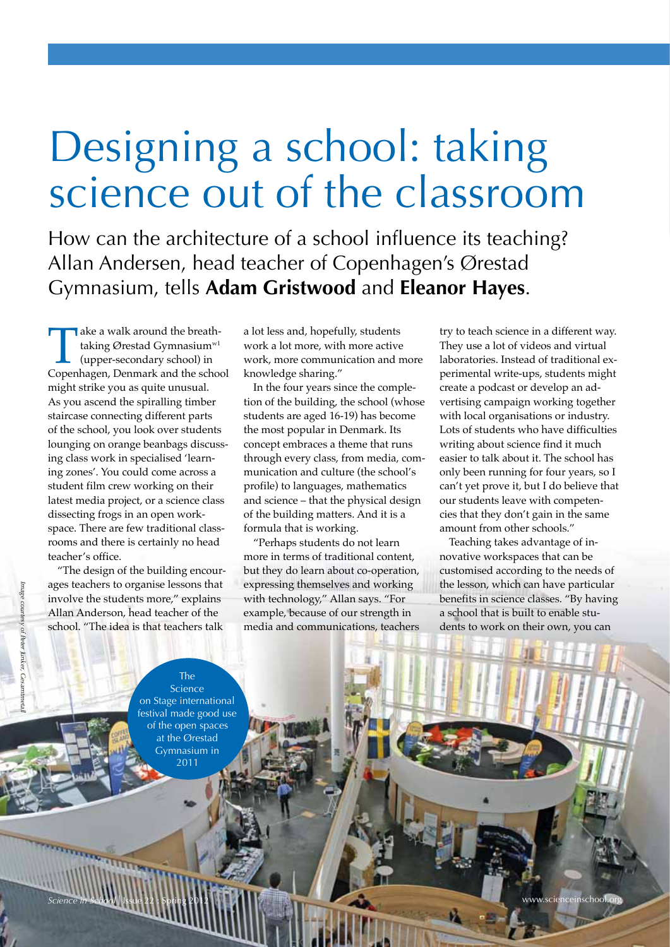# Designing a school: taking science out of the classroom

How can the architecture of a school influence its teaching? Allan Andersen, head teacher of Copenhagen's Ørestad Gymnasium, tells **Adam Gristwood** and **Eleanor Hayes**.

Take a walk around the breath-<br>
taking Ørestad Gymnasium<sup>w1</sup><br>
(upper-secondary school) in<br>
Copenhagen, Denmark and the school taking Ørestad Gymnasium<sup>w1</sup> (upper-secondary school) in might strike you as quite unusual. As you ascend the spiralling timber staircase connecting different parts of the school, you look over students lounging on orange beanbags discussing class work in specialised 'learning zones'. You could come across a student film crew working on their latest media project, or a science class dissecting frogs in an open workspace. There are few traditional classrooms and there is certainly no head teacher's office.

"The design of the building encourages teachers to organise lessons that involve the students more," explains Allan Anderson, head teacher of the school. "The idea is that teachers talk

a lot less and, hopefully, students work a lot more, with more active work, more communication and more knowledge sharing."

In the four years since the completion of the building, the school (whose students are aged 16-19) has become the most popular in Denmark. Its concept embraces a theme that runs through every class, from media, communication and culture (the school's profile) to languages, mathematics and science – that the physical design of the building matters. And it is a formula that is working.

"Perhaps students do not learn more in terms of traditional content, but they do learn about co-operation, expressing themselves and working with technology," Allan says. "For example, because of our strength in media and communications, teachers

try to teach science in a different way. They use a lot of videos and virtual laboratories. Instead of traditional experimental write-ups, students might create a podcast or develop an advertising campaign working together with local organisations or industry. Lots of students who have difficulties writing about science find it much easier to talk about it. The school has only been running for four years, so I can't yet prove it, but I do believe that our students leave with competencies that they don't gain in the same amount from other schools."

Teaching takes advantage of innovative workspaces that can be customised according to the needs of the lesson, which can have particular benefits in science classes. "By having a school that is built to enable students to work on their own, you can

Image courtesy of Peter Junker, Ge *Image courtesy of Peter Junker, Gesamtmetall*

Science on Stage international festival made good use of the open spaces at the Ørestad Gymnasium in 2011

The

*Science in School* I Issue 22 : Spring 2012 www.scienceinschool.org